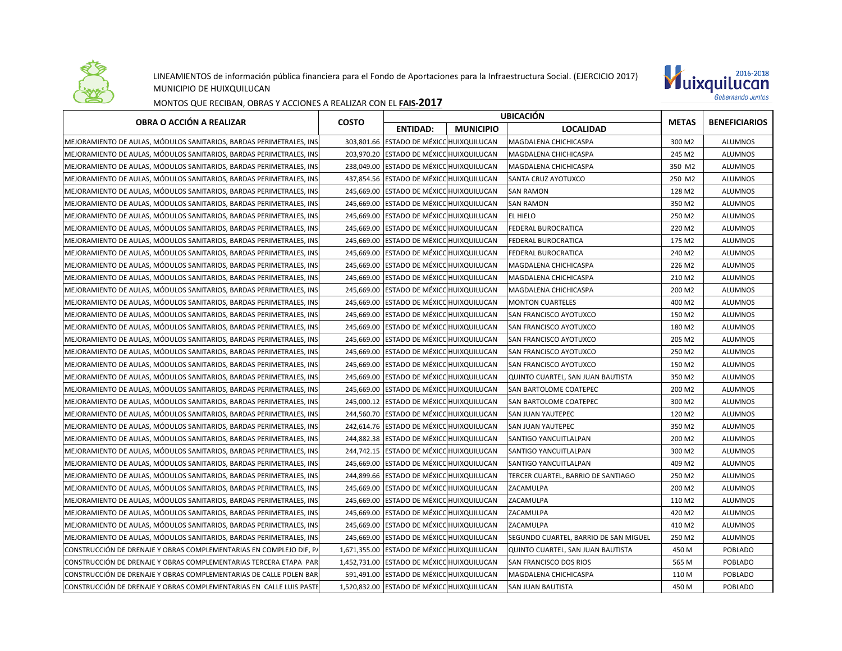

## LINEAMIENTOS de información pública financiera para el Fondo de Aportaciones para la Infraestructura Social. (EJERCICIO 2017) MUNICIPIO DE HUIXQUILUCAN



MONTOS QUE RECIBAN, OBRAS Y ACCIONES A REALIZAR CON EL **FAIS-2017**

| OBRA O ACCIÓN A REALIZAR                                            | <b>COSTO</b> | <b>UBICACIÓN</b>                           |                  |                                       | <b>METAS</b> |                      |
|---------------------------------------------------------------------|--------------|--------------------------------------------|------------------|---------------------------------------|--------------|----------------------|
|                                                                     |              | <b>ENTIDAD:</b>                            | <b>MUNICIPIO</b> | <b>LOCALIDAD</b>                      |              | <b>BENEFICIARIOS</b> |
| MEJORAMIENTO DE AULAS, MÓDULOS SANITARIOS, BARDAS PERIMETRALES, INS |              | 303.801.66 ESTADO DE MÉXICO HUIXQUILUCAN   |                  | MAGDALENA CHICHICASPA                 | 300 M2       | <b>ALUMNOS</b>       |
| MEJORAMIENTO DE AULAS, MÓDULOS SANITARIOS, BARDAS PERIMETRALES, INS |              | 203,970.20 ESTADO DE MÉXICO HUIXQUILUCAN   |                  | MAGDALENA CHICHICASPA                 | 245 M2       | <b>ALUMNOS</b>       |
| MEJORAMIENTO DE AULAS, MÓDULOS SANITARIOS, BARDAS PERIMETRALES, INS |              | 238,049.00 ESTADO DE MÉXICO HUIXQUILUCAN   |                  | MAGDALENA CHICHICASPA                 | 350 M2       | <b>ALUMNOS</b>       |
| MEJORAMIENTO DE AULAS, MÓDULOS SANITARIOS, BARDAS PERIMETRALES, INS |              | 437,854.56 ESTADO DE MÉXICO HUIXQUILUCAN   |                  | SANTA CRUZ AYOTUXCO                   | 250 M2       | <b>ALUMNOS</b>       |
| MEJORAMIENTO DE AULAS. MÓDULOS SANITARIOS. BARDAS PERIMETRALES. INS | 245.669.00   | <b>ESTADO DE MÉXICO HUIXQUILUCAN</b>       |                  | <b>SAN RAMON</b>                      | 128 M2       | <b>ALUMNOS</b>       |
| MEJORAMIENTO DE AULAS, MÓDULOS SANITARIOS, BARDAS PERIMETRALES, INS |              | 245,669.00 ESTADO DE MÉXICO HUIXQUILUCAN   |                  | <b>SAN RAMON</b>                      | 350 M2       | ALUMNOS              |
| MEJORAMIENTO DE AULAS, MÓDULOS SANITARIOS, BARDAS PERIMETRALES, INS |              | 245,669.00 ESTADO DE MÉXICO HUIXQUILUCAN   |                  | EL HIELO                              | 250 M2       | <b>ALUMNOS</b>       |
| MEJORAMIENTO DE AULAS, MÓDULOS SANITARIOS, BARDAS PERIMETRALES, INS |              | 245,669.00 ESTADO DE MÉXICO HUIXQUILUCAN   |                  | <b>FEDERAL BUROCRATICA</b>            | 220 M2       | <b>ALUMNOS</b>       |
| MEJORAMIENTO DE AULAS, MÓDULOS SANITARIOS, BARDAS PERIMETRALES, INS |              | 245,669.00 ESTADO DE MÉXICO HUIXQUILUCAN   |                  | FEDERAL BUROCRATICA                   | 175 M2       | <b>ALUMNOS</b>       |
| MEJORAMIENTO DE AULAS, MÓDULOS SANITARIOS, BARDAS PERIMETRALES, INS |              | 245,669.00 ESTADO DE MÉXICO HUIXQUILUCAN   |                  | FEDERAL BUROCRATICA                   | 240 M2       | <b>ALUMNOS</b>       |
| MEJORAMIENTO DE AULAS, MÓDULOS SANITARIOS, BARDAS PERIMETRALES, INS |              | 245,669.00 ESTADO DE MÉXICO HUIXQUILUCAN   |                  | MAGDALENA CHICHICASPA                 | 226 M2       | <b>ALUMNOS</b>       |
| MEJORAMIENTO DE AULAS. MÓDULOS SANITARIOS. BARDAS PERIMETRALES. INS |              | 245,669.00 ESTADO DE MÉXICO HUIXQUILUCAN   |                  | MAGDALENA CHICHICASPA                 | 210 M2       | <b>ALUMNOS</b>       |
| MEJORAMIENTO DE AULAS, MÓDULOS SANITARIOS, BARDAS PERIMETRALES, INS |              | 245,669.00 ESTADO DE MÉXICO HUIXQUILUCAN   |                  | MAGDALENA CHICHICASPA                 | 200 M2       | ALUMNOS              |
| MEJORAMIENTO DE AULAS, MÓDULOS SANITARIOS, BARDAS PERIMETRALES, INS |              | 245,669.00 ESTADO DE MÉXICO HUIXQUILUCAN   |                  | <b>MONTON CUARTELES</b>               | 400 M2       | ALUMNOS              |
| MEJORAMIENTO DE AULAS, MÓDULOS SANITARIOS, BARDAS PERIMETRALES, INS |              | 245,669.00 ESTADO DE MÉXICO HUIXQUILUCAN   |                  | SAN FRANCISCO AYOTUXCO                | 150 M2       | <b>ALUMNOS</b>       |
| MEJORAMIENTO DE AULAS, MÓDULOS SANITARIOS, BARDAS PERIMETRALES, INS |              | 245,669.00 ESTADO DE MÉXICO HUIXQUILUCAN   |                  | SAN FRANCISCO AYOTUXCO                | 180 M2       | <b>ALUMNOS</b>       |
| MEJORAMIENTO DE AULAS, MÓDULOS SANITARIOS, BARDAS PERIMETRALES, INS |              | 245,669.00 ESTADO DE MÉXICO HUIXQUILUCAN   |                  | SAN FRANCISCO AYOTUXCO                | 205 M2       | <b>ALUMNOS</b>       |
| MEJORAMIENTO DE AULAS, MÓDULOS SANITARIOS, BARDAS PERIMETRALES, INS |              | 245,669.00 ESTADO DE MÉXICO HUIXQUILUCAN   |                  | SAN FRANCISCO AYOTUXCO                | 250 M2       | <b>ALUMNOS</b>       |
| MEJORAMIENTO DE AULAS, MÓDULOS SANITARIOS, BARDAS PERIMETRALES, INS |              | 245,669.00 ESTADO DE MÉXICO HUIXQUILUCAN   |                  | SAN FRANCISCO AYOTUXCO                | 150 M2       | <b>ALUMNOS</b>       |
| MEJORAMIENTO DE AULAS, MODULOS SANITARIOS, BARDAS PERIMETRALES, INS |              | 245,669.00 ESTADO DE MÉXICO HUIXQUILUCAN   |                  | QUINTO CUARTEL, SAN JUAN BAUTISTA     | 350 M2       | <b>ALUMNOS</b>       |
| MEJORAMIENTO DE AULAS, MÓDULOS SANITARIOS, BARDAS PERIMETRALES, INS |              | 245,669.00 ESTADO DE MÉXICO HUIXQUILUCAN   |                  | SAN BARTOLOME COATEPEC                | 200 M2       | <b>ALUMNOS</b>       |
| MEJORAMIENTO DE AULAS, MÓDULOS SANITARIOS, BARDAS PERIMETRALES, INS |              | 245,000.12 ESTADO DE MÉXICO HUIXQUILUCAN   |                  | SAN BARTOLOME COATEPEC                | 300 M2       | <b>ALUMNOS</b>       |
| MEJORAMIENTO DE AULAS, MÓDULOS SANITARIOS, BARDAS PERIMETRALES, INS |              | 244,560.70 ESTADO DE MÉXICO HUIXQUILUCAN   |                  | SAN JUAN YAUTEPEC                     | 120 M2       | <b>ALUMNOS</b>       |
| MEJORAMIENTO DE AULAS, MÓDULOS SANITARIOS, BARDAS PERIMETRALES, INS |              | 242,614.76 ESTADO DE MÉXICO HUIXQUILUCAN   |                  | SAN JUAN YAUTEPEC                     | 350 M2       | <b>ALUMNOS</b>       |
| MEJORAMIENTO DE AULAS, MÓDULOS SANITARIOS, BARDAS PERIMETRALES, INS |              | 244,882.38 ESTADO DE MÉXICO HUIXQUILUCAN   |                  | SANTIGO YANCUITLALPAN                 | 200 M2       | <b>ALUMNOS</b>       |
| MEJORAMIENTO DE AULAS, MÓDULOS SANITARIOS, BARDAS PERIMETRALES, INS |              | 244,742.15 ESTADO DE MÉXICO HUIXQUILUCAN   |                  | SANTIGO YANCUITLALPAN                 | 300 M2       | <b>ALUMNOS</b>       |
| MEJORAMIENTO DE AULAS, MÓDULOS SANITARIOS, BARDAS PERIMETRALES, INS |              | 245,669.00 ESTADO DE MÉXICO HUIXQUILUCAN   |                  | SANTIGO YANCUITLALPAN                 | 409 M2       | <b>ALUMNOS</b>       |
| MEJORAMIENTO DE AULAS, MÓDULOS SANITARIOS, BARDAS PERIMETRALES, INS |              | 244,899.66 ESTADO DE MÉXICO HUIXQUILUCAN   |                  | TERCER CUARTEL, BARRIO DE SANTIAGO    | 250 M2       | <b>ALUMNOS</b>       |
| MEJORAMIENTO DE AULAS, MÓDULOS SANITARIOS, BARDAS PERIMETRALES, INS |              | 245,669.00 ESTADO DE MÉXICO HUIXQUILUCAN   |                  | ZACAMULPA                             | 200 M2       | <b>ALUMNOS</b>       |
| MEJORAMIENTO DE AULAS. MÓDULOS SANITARIOS. BARDAS PERIMETRALES. INS |              | 245,669.00 ESTADO DE MÉXICO HUIXQUILUCAN   |                  | ZACAMULPA                             | 110 M2       | <b>ALUMNOS</b>       |
| MEJORAMIENTO DE AULAS, MÓDULOS SANITARIOS, BARDAS PERIMETRALES, INS | 245,669.00   | <b>ESTADO DE MÉXICO HUIXQUILUCAN</b>       |                  | ZACAMULPA                             | 420 M2       | <b>ALUMNOS</b>       |
| MEJORAMIENTO DE AULAS, MÓDULOS SANITARIOS, BARDAS PERIMETRALES, INS |              | 245,669.00 ESTADO DE MÉXICO HUIXQUILUCAN   |                  | ZACAMULPA                             | 410 M2       | <b>ALUMNOS</b>       |
| MEJORAMIENTO DE AULAS, MÓDULOS SANITARIOS, BARDAS PERIMETRALES, INS |              | 245,669.00 ESTADO DE MÉXICO HUIXQUILUCAN   |                  | SEGUNDO CUARTEL, BARRIO DE SAN MIGUEL | 250 M2       | <b>ALUMNOS</b>       |
| CONSTRUCCIÓN DE DRENAJE Y OBRAS COMPLEMENTARIAS EN COMPLEJO DIF, PA |              | 1,671,355.00 ESTADO DE MÉXICO HUIXQUILUCAN |                  | QUINTO CUARTEL, SAN JUAN BAUTISTA     | 450 M        | POBLADO              |
| CONSTRUCCIÓN DE DRENAJE Y OBRAS COMPLEMENTARIAS TERCERA ETAPA PAR   |              | 1,452,731.00 ESTADO DE MÉXICO HUIXQUILUCAN |                  | SAN FRANCISCO DOS RIOS                | 565 M        | <b>POBLADO</b>       |
| CONSTRUCCIÓN DE DRENAJE Y OBRAS COMPLEMENTARIAS DE CALLE POLEN BAR  |              | 591,491.00 ESTADO DE MÉXICO HUIXQUILUCAN   |                  | MAGDALENA CHICHICASPA                 | 110 M        | <b>POBLADO</b>       |
| CONSTRUCCIÓN DE DRENAJE Y OBRAS COMPLEMENTARIAS EN CALLE LUIS PASTE |              | 1,520,832.00 ESTADO DE MÉXICO HUIXQUILUCAN |                  | <b>SAN JUAN BAUTISTA</b>              | 450 M        | <b>POBLADO</b>       |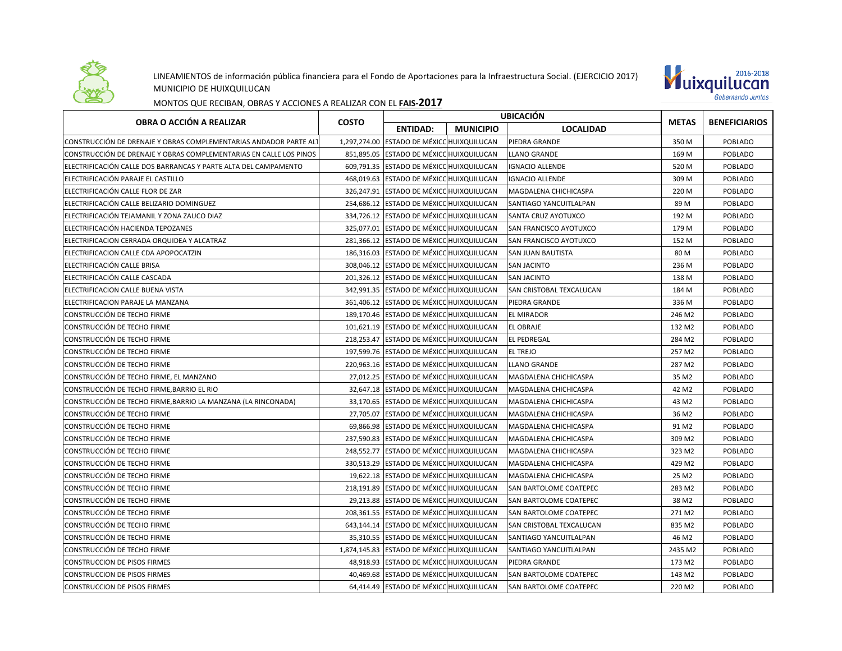

## LINEAMIENTOS de información pública financiera para el Fondo de Aportaciones para la Infraestructura Social. (EJERCICIO 2017) MUNICIPIO DE HUIXQUILUCAN



MONTOS QUE RECIBAN, OBRAS Y ACCIONES A REALIZAR CON EL **FAIS-2017**

| OBRA O ACCIÓN A REALIZAR                                           | <b>COSTO</b> | <b>UBICACIÓN</b>                           |                  |                               |                   |                      |
|--------------------------------------------------------------------|--------------|--------------------------------------------|------------------|-------------------------------|-------------------|----------------------|
|                                                                    |              | <b>ENTIDAD:</b>                            | <b>MUNICIPIO</b> | <b>LOCALIDAD</b>              | <b>METAS</b>      | <b>BENEFICIARIOS</b> |
| CONSTRUCCIÓN DE DRENAJE Y OBRAS COMPLEMENTARIAS ANDADOR PARTE ALT  |              | 1,297,274.00 ESTADO DE MÉXICO HUIXQUILUCAN |                  | PIEDRA GRANDE                 | 350 M             | POBLADO              |
| CONSTRUCCIÓN DE DRENAJE Y OBRAS COMPLEMENTARIAS EN CALLE LOS PINOS |              | 851.895.05 ESTADO DE MÉXICO HUIXQUILUCAN   |                  | <b>LLANO GRANDE</b>           | 169 M             | <b>POBLADO</b>       |
| ELECTRIFICACIÓN CALLE DOS BARRANCAS Y PARTE ALTA DEL CAMPAMENTO    |              | 609,791.35 ESTADO DE MÉXICO HUIXQUILUCAN   |                  | <b>IGNACIO ALLENDE</b>        | 520 M             | POBLADO              |
| ELECTRIFICACIÓN PARAJE EL CASTILLO                                 |              | 468,019.63 ESTADO DE MÉXICO HUIXQUILUCAN   |                  | <b>IGNACIO ALLENDE</b>        | 309 M             | POBLADO              |
| ELECTRIFICACIÓN CALLE FLOR DE ZAR                                  | 326,247.91   | ESTADO DE MÉXICO HUIXQUILUCAN              |                  | MAGDALENA CHICHICASPA         | 220 M             | POBLADO              |
| ELECTRIFICACIÓN CALLE BELIZARIO DOMINGUEZ                          |              | 254,686.12 ESTADO DE MÉXICO HUIXQUILUCAN   |                  | SANTIAGO YANCUITLALPAN        | 89 M              | POBLADO              |
| ELECTRIFICACIÓN TEJAMANIL Y ZONA ZAUCO DIAZ                        |              | 334,726.12 ESTADO DE MÉXICO HUIXQUILUCAN   |                  | SANTA CRUZ AYOTUXCO           | 192 M             | POBLADO              |
| ELECTRIFICACIÓN HACIENDA TEPOZANES                                 |              | 325,077.01 ESTADO DE MÉXICO HUIXQUILUCAN   |                  | SAN FRANCISCO AYOTUXCO        | 179 M             | POBLADO              |
| ELECTRIFICACION CERRADA ORQUIDEA Y ALCATRAZ                        |              | 281,366.12 ESTADO DE MÉXICO HUIXQUILUCAN   |                  | SAN FRANCISCO AYOTUXCO        | 152 M             | POBLADO              |
| ELECTRIFICACION CALLE CDA APOPOCATZIN                              |              | 186,316.03 ESTADO DE MÉXICO HUIXQUILUCAN   |                  | <b>SAN JUAN BAUTISTA</b>      | 80 M              | POBLADO              |
| ELECTRIFICACIÓN CALLE BRISA                                        |              | 308,046.12 ESTADO DE MÉXICO HUIXQUILUCAN   |                  | <b>SAN JACINTO</b>            | 236 M             | <b>POBLADO</b>       |
| ELECTRIFICACIÓN CALLE CASCADA                                      |              | 201,326.12 ESTADO DE MÉXICO HUIXQUILUCAN   |                  | <b>SAN JACINTO</b>            | 138 M             | POBLADO              |
| ELECTRIFICACION CALLE BUENA VISTA                                  |              | 342,991.35 ESTADO DE MÉXICO HUIXQUILUCAN   |                  | SAN CRISTOBAL TEXCALUCAN      | 184 M             | POBLADO              |
| ELECTRIFICACION PARAJE LA MANZANA                                  |              | 361,406.12 ESTADO DE MÉXICO HUIXQUILUCAN   |                  | PIEDRA GRANDE                 | 336 M             | POBLADO              |
| CONSTRUCCIÓN DE TECHO FIRME                                        |              | 189,170.46 ESTADO DE MÉXICO HUIXQUILUCAN   |                  | <b>EL MIRADOR</b>             | 246 M2            | POBLADO              |
| CONSTRUCCIÓN DE TECHO FIRME                                        |              | 101,621.19 ESTADO DE MÉXICO HUIXQUILUCAN   |                  | <b>EL OBRAJE</b>              | 132 M2            | POBLADO              |
| CONSTRUCCIÓN DE TECHO FIRME                                        |              | 218,253.47 ESTADO DE MÉXICO HUIXQUILUCAN   |                  | <b>EL PEDREGAL</b>            | 284 M2            | POBLADO              |
| CONSTRUCCIÓN DE TECHO FIRME                                        |              | 197,599.76 ESTADO DE MÉXICO HUIXQUILUCAN   |                  | <b>EL TREJO</b>               | 257 M2            | POBLADO              |
| CONSTRUCCIÓN DE TECHO FIRME                                        |              | 220,963.16 ESTADO DE MÉXICO HUIXQUILUCAN   |                  | <b>LLANO GRANDE</b>           | 287 M2            | POBLADO              |
| CONSTRUCCIÓN DE TECHO FIRME, EL MANZANO                            |              | 27,012.25 ESTADO DE MÉXICO HUIXQUILUCAN    |                  | MAGDALENA CHICHICASPA         | 35 M2             | POBLADO              |
| CONSTRUCCIÓN DE TECHO FIRME, BARRIO EL RIO                         |              | 32,647.18 ESTADO DE MÉXICO HUIXQUILUCAN    |                  | MAGDALENA CHICHICASPA         | 42 M <sub>2</sub> | POBLADO              |
| CONSTRUCCIÓN DE TECHO FIRME, BARRIO LA MANZANA (LA RINCONADA)      |              | 33,170.65 ESTADO DE MÉXICO HUIXQUILUCAN    |                  | MAGDALENA CHICHICASPA         | 43 M2             | POBLADO              |
| CONSTRUCCIÓN DE TECHO FIRME                                        |              | 27,705.07 ESTADO DE MÉXICO HUIXQUILUCAN    |                  | MAGDALENA CHICHICASPA         | 36 M2             | POBLADO              |
| CONSTRUCCIÓN DE TECHO FIRME                                        |              | 69,866.98 ESTADO DE MÉXICO HUIXQUILUCAN    |                  | MAGDALENA CHICHICASPA         | 91 M <sub>2</sub> | POBLADO              |
| CONSTRUCCIÓN DE TECHO FIRME                                        |              | 237,590.83 ESTADO DE MÉXICO HUIXQUILUCAN   |                  | MAGDALENA CHICHICASPA         | 309 M2            | POBLADO              |
| CONSTRUCCIÓN DE TECHO FIRME                                        |              | 248,552.77 ESTADO DE MÉXICO HUIXQUILUCAN   |                  | MAGDALENA CHICHICASPA         | 323 M2            | POBLADO              |
| CONSTRUCCIÓN DE TECHO FIRME                                        |              | 330,513.29 ESTADO DE MÉXICO HUIXQUILUCAN   |                  | MAGDALENA CHICHICASPA         | 429 M2            | POBLADO              |
| CONSTRUCCIÓN DE TECHO FIRME                                        |              | 19.622.18 ESTADO DE MÉXICO HUIXQUILUCAN    |                  | MAGDALENA CHICHICASPA         | 25 M2             | POBLADO              |
| CONSTRUCCIÓN DE TECHO FIRME                                        |              | 218,191.89 ESTADO DE MÉXICO HUIXQUILUCAN   |                  | SAN BARTOLOME COATEPEC        | 283 M2            | POBLADO              |
| CONSTRUCCIÓN DE TECHO FIRME                                        |              | 29,213.88 ESTADO DE MÉXICO HUIXQUILUCAN    |                  | SAN BARTOLOME COATEPEC        | 38 M2             | POBLADO              |
| CONSTRUCCIÓN DE TECHO FIRME                                        |              | 208,361.55 ESTADO DE MÉXICO HUIXQUILUCAN   |                  | SAN BARTOLOME COATEPEC        | 271 M2            | POBLADO              |
| CONSTRUCCIÓN DE TECHO FIRME                                        |              | 643,144.14 ESTADO DE MÉXICO HUIXQUILUCAN   |                  | SAN CRISTOBAL TEXCALUCAN      | 835 M2            | POBLADO              |
| CONSTRUCCIÓN DE TECHO FIRME                                        |              | 35,310.55 ESTADO DE MÉXICO HUIXQUILUCAN    |                  | SANTIAGO YANCUITLALPAN        | 46 M2             | POBLADO              |
| CONSTRUCCIÓN DE TECHO FIRME                                        |              | 1,874,145.83 ESTADO DE MÉXICO HUIXQUILUCAN |                  | SANTIAGO YANCUITLALPAN        | 2435 M2           | POBLADO              |
| CONSTRUCCION DE PISOS FIRMES                                       |              | 48,918.93 ESTADO DE MÉXICO HUIXQUILUCAN    |                  | PIEDRA GRANDE                 | 173 M2            | POBLADO              |
| <b>CONSTRUCCION DE PISOS FIRMES</b>                                |              | 40,469.68 ESTADO DE MÉXICO HUIXQUILUCAN    |                  | SAN BARTOLOME COATEPEC        | 143 M2            | POBLADO              |
| <b>CONSTRUCCION DE PISOS FIRMES</b>                                |              | 64,414.49 ESTADO DE MÉXICO HUIXQUILUCAN    |                  | <b>SAN BARTOLOME COATEPEC</b> | 220 M2            | POBLADO              |